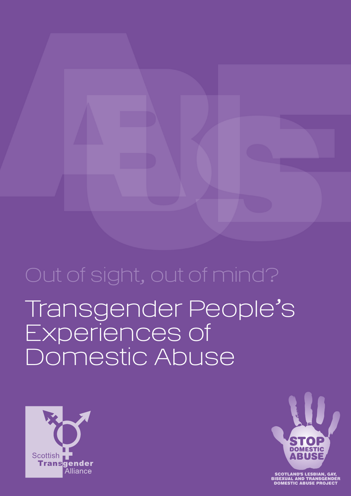# Transgender People's Experiences of Domestic Abuse Out of sight, out of mind?





OTLAND'S LESBIAN, (<br>XUAL AND TRANSGE|<br>MESTIC ABUSE PROJ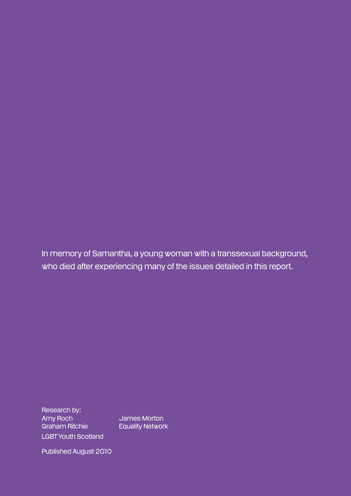In memory of Samantha, a young woman with a transsexual background, who died after experiencing many of the issues detailed in this report.

Research by: Amy Roch James Morton Graham Ritchie **Equality Network** LGBT Youth Scotland

Published August 2010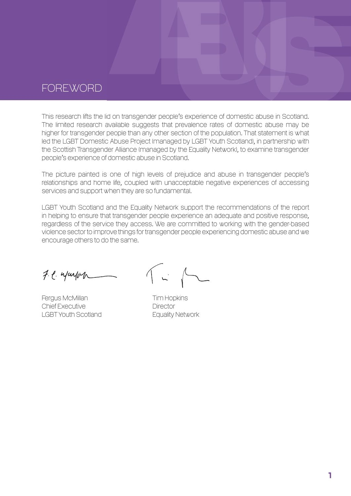### **FOREWORD**

This research lifts the lid on transgender people's experience of domestic abuse in Scotland. The limited research available suggests that prevalence rates of domestic abuse may be higher for transgender people than any other section of the population. That statement is what led the LGBT Domestic Abuse Project (managed by LGBT Youth Scotland), in partnership with the Scottish Transgender Alliance (managed by the Equality Network), to examine transgender people's experience of domestic abuse in Scotland.

The picture painted is one of high levels of prejudice and abuse in transgender people's relationships and home life, coupled with unacceptable negative experiences of accessing services and support when they are so fundamental.

LGBT Youth Scotland and the Equality Network support the recommendations of the report in helping to ensure that transgender people experience an adequate and positive response, regardless of the service they access. We are committed to working with the gender-based violence sector to improve things for transgender people experiencing domestic abuse and we encourage others to do the same.

F.C. wayon

Fergus McMillan Tim Hopkins Chief Executive **Director** LGBT Youth Scotland Equality Network

 $\begin{bmatrix} 1 & 1 \\ 1 & 1 \end{bmatrix}$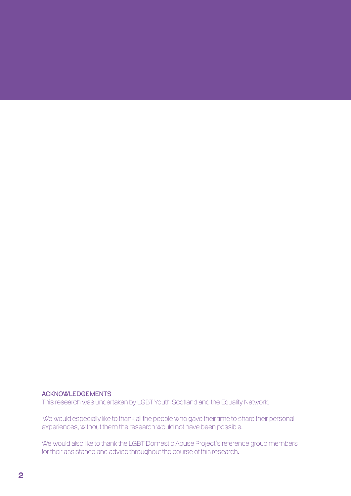#### **ACKNOWLEDGEMENTS**

This research was undertaken by LGBT Youth Scotland and the Equality Network.

We would especially like to thank all the people who gave their time to share their personal experiences, without them the research would not have been possible.

We would also like to thank the LGBT Domestic Abuse Project's reference group members for their assistance and advice throughout the course of this research.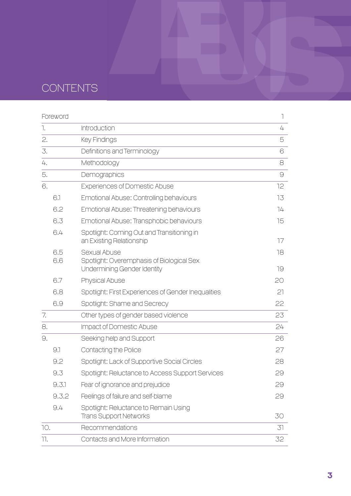## contents

|     | Foreword   |                                                                                          | $\overline{\phantom{a}}$ |
|-----|------------|------------------------------------------------------------------------------------------|--------------------------|
| ٦.  |            | Introduction                                                                             | 4                        |
| 2.  |            | <b>Key Findings</b>                                                                      | 5                        |
| 3.  |            | Definitions and Terminology                                                              | 6                        |
| 4.  |            | Methodology                                                                              | 8                        |
| 5.  |            | Demographics                                                                             | $\Theta$                 |
| 6.  |            | <b>Experiences of Domestic Abuse</b>                                                     | 12                       |
|     | 6.1        | Emotional Abuse: Controlling behaviours                                                  | 13                       |
|     | 6.2        | Emotional Abuse: Threatening behaviours                                                  | 74                       |
|     | 6.3        | Emotional Abuse: Transphobic behaviours                                                  | 15                       |
|     | 6.4        | Spotlight: Coming Out and Transitioning in<br>an Existing Relationship                   | 17                       |
|     | 6.5<br>6.6 | Sexual Abuse<br>Spotlight: Overemphasis of Biological Sex<br>Undermining Gender Identity | 18<br>19                 |
|     | 6.7        | <b>Physical Abuse</b>                                                                    | 20                       |
|     | 6.8        | Spotlight: First Experiences of Gender Inequalities                                      | 21                       |
|     | 6.9        | Spotlight: Shame and Secrecy                                                             | 22                       |
| 7.  |            | Other types of gender based violence                                                     | 23                       |
| 8.  |            | <b>Impact of Domestic Abuse</b>                                                          | 24                       |
| 9.  |            | Seeking help and Support                                                                 | 26                       |
|     | 9.1        | Contacting the Police                                                                    | 27                       |
|     | 9.2        | Spotlight: Lack of Supportive Social Circles                                             | 28                       |
|     | 9.3        | Spotlight: Reluctance to Access Support Services                                         | 29                       |
|     | 9.3.1      | Fear of ignorance and prejudice                                                          | 29                       |
|     | 9.3.2      | Feelings of failure and self-blame                                                       | 29                       |
|     | 9.4        | Spotlight: Reluctance to Remain Using<br><b>Trans Support Networks</b>                   | 30                       |
| 10. |            | Recommendations                                                                          | 31                       |
| 11. |            | Contacts and More Information                                                            | 32                       |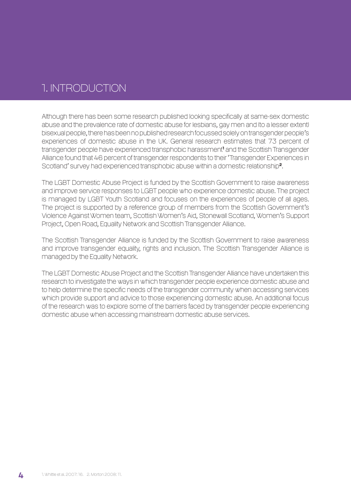### 1. INTRODUCTION

Although there has been some research published looking specifically at same-sex domestic abuse and the prevalence rate of domestic abuse for lesbians, gay men and (to a lesser extent) bisexual people, there has been no published research focussed solely on transgender people's experiences of domestic abuse in the UK. General research estimates that 73 percent of transgender people have experienced transphobic harassment**'** and the Scottish Transgender Alliance found that 46 percent of transgender respondents to their 'Transgender Experiences in Scotland' survey had experienced transphobic abuse within a domestic relationship<sup>2</sup>.

The LGBT Domestic Abuse Project is funded by the Scottish Government to raise awareness and improve service responses to LGBT people who experience domestic abuse. The project is managed by LGBT Youth Scotland and focuses on the experiences of people of all ages. The project is supported by a reference group of members from the Scottish Government's Violence Against Women team, Scottish Women's Aid, Stonewall Scotland, Women's Support Project, Open Road, Equality Network and Scottish Transgender Alliance.

The Scottish Transgender Alliance is funded by the Scottish Government to raise awareness and improve transgender equality, rights and inclusion. The Scottish Transgender Alliance is managed by the Equality Network.

The LGBT Domestic Abuse Project and the Scottish Transgender Alliance have undertaken this research to investigate the ways in which transgender people experience domestic abuse and to help determine the specific needs of the transgender community when accessing services which provide support and advice to those experiencing domestic abuse. An additional focus of the research was to explore some of the barriers faced by transgender people experiencing domestic abuse when accessing mainstream domestic abuse services.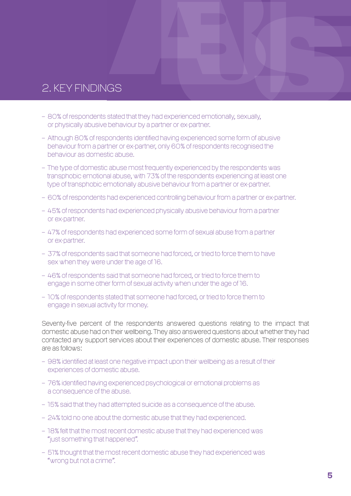### 2. KEY FINDINGS

- 80% of respondents stated that they had experienced emotionally, sexually, or physically abusive behaviour by a partner or ex-partner.
- Although 80% of respondents identified having experienced some form of abusive behaviour from a partner or ex-partner, only 60% of respondents recognised the behaviour as domestic abuse.
- The type of domestic abuse most frequently experienced by the respondents was transphobic emotional abuse, with 73% of the respondents experiencing at least one type of transphobic emotionally abusive behaviour from a partner or ex-partner.
- 60% of respondents had experienced controlling behaviour from a partner or ex-partner.
- 45% of respondents had experienced physically abusive behaviour from a partner or ex-partner.
- 47% of respondents had experienced some form of sexual abuse from a partner or ex-partner.
- 37% of respondents said that someone had forced, or tried to force them to have sex when they were under the age of 16.
- 46% of respondents said that someone had forced, or tried to force them to engage in some other form of sexual activity when under the age of 16.
- 10% of respondents stated that someone had forced, or tried to force them to engage in sexual activity for money.

Seventy-five percent of the respondents answered questions relating to the impact that domestic abuse had on their wellbeing. They also answered questions about whether they had contacted any support services about their experiences of domestic abuse. Their responses are as follows:

- 98% identified at least one negative impact upon their wellbeing as a result of their experiences of domestic abuse.
- 76% identified having experienced psychological or emotional problems as a consequence of the abuse.
- 15% said that they had attempted suicide as a consequence of the abuse.
- 24% told no one about the domestic abuse that they had experienced.
- 18% felt that the most recent domestic abuse that they had experienced was "just something that happened".
- 51% thought that the most recent domestic abuse they had experienced was "wrong but not a crime".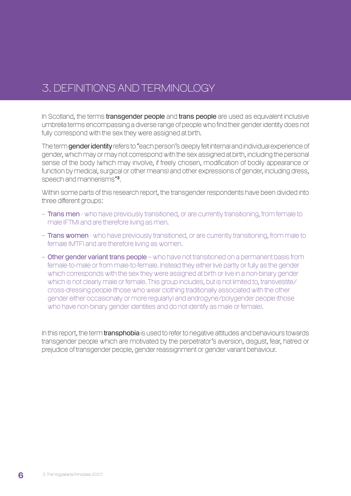### 3. DEFINITIONS AND TERMINOLOGY

In Scotland, the terms transgender people and trans people are used as equivalent inclusive umbrella terms encompassing a diverse range of people who find their gender identity does not fully correspond with the sex they were assigned at birth.

The term gender identity refers to "each person's deeply felt internal and individual experience of gender, which may or may not correspond with the sex assigned at birth, including the personal sense of the body (which may involve, if freely chosen, modification of bodily appearance or function by medical, surgical or other means) and other expressions of gender, including dress, speech and mannerisms"3.

Within some parts of this research report, the transgender respondents have been divided into three different groups:

- Trans men who have previously transitioned, or are currently transitioning, from female to male (FTM) and are therefore living as men.
- **Trans women** who have previously transitioned, or are currently transitioning, from male to female (MTF) and are therefore living as women.
- Other gender variant trans people who have not transitioned on a permanent basis from female-to-male or from male-to-female. Instead they either live partly or fully as the gender which corresponds with the sex they were assigned at birth or live in a non-binary gender which is not clearly male or female. This group includes, but is not limited to, transvestite/ cross-dressing people (those who wear clothing traditionally associated with the other gender either occasionally or more regularly) and androgyne/polygender people (those who have non-binary gender identities and do not identify as male or female).

In this report, the term **transphobia** is used to refer to negative attitudes and behaviours towards transgender people which are motivated by the perpetrator's aversion, disgust, fear, hatred or prejudice of transgender people, gender reassignment or gender variant behaviour.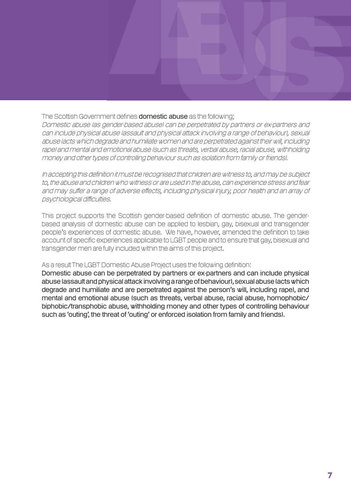### The Scottish Government defines **domestic abuse** as the following:

Domestic abuse (as gender-based abuse) can be perpetrated by partners or ex-partners and can include physical abuse (assault and physical attack involving a range of behaviour), sexual abuse (acts which degrade and humiliate women and are perpetrated against their will, including rape) and mental and emotional abuse (such as threats, verbal abuse, racial abuse, withholding money and other types of controlling behaviour such as isolation from family or friends).

In accepting this definition it must be recognised that children are witness to, and may be subject to, the abuse and children who witness or are used in the abuse, can experience stress and fear and may suffer a range of adverse effects, including physical injury, poor health and an array of psychological difficulties.

This project supports the Scottish gender-based definition of domestic abuse. The genderbased analysis of domestic abuse can be applied to lesbian, gay, bisexual and transgender people's experiences of domestic abuse. We have, however, amended the definition to take account of specific experiences applicable to LGBT people and to ensure that gay, bisexual and transgender men are fully included within the aims of this project.

### As a result The LGBT Domestic Abuse Project uses the following definition:

Domestic abuse can be perpetrated by partners or ex-partners and can include physical abuse (assault and physical attack involving a range of behaviour), sexual abuse (acts which degrade and humiliate and are perpetrated against the person's will, including rape), and mental and emotional abuse (such as threats, verbal abuse, racial abuse, homophobic/ biphobic/transphobic abuse, withholding money and other types of controlling behaviour such as 'outing', the threat of 'outing' or enforced isolation from family and friends).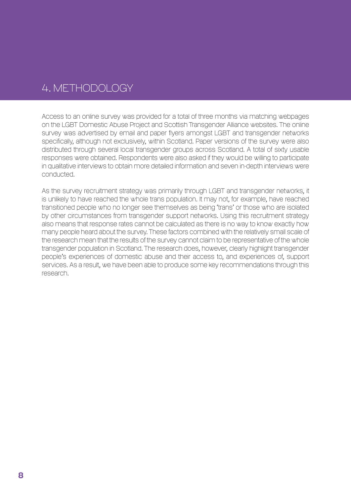### 4. Methodology

Access to an online survey was provided for a total of three months via matching webpages on the LGBT Domestic Abuse Project and Scottish Transgender Alliance websites. The online survey was advertised by email and paper flyers amongst LGBT and transgender networks specifically, although not exclusively, within Scotland. Paper versions of the survey were also distributed through several local transgender groups across Scotland. A total of sixty usable responses were obtained. Respondents were also asked if they would be willing to participate in qualitative interviews to obtain more detailed information and seven in-depth interviews were conducted.

As the survey recruitment strategy was primarily through LGBT and transgender networks, it is unlikely to have reached the whole trans population. It may not, for example, have reached transitioned people who no longer see themselves as being 'trans' or those who are isolated by other circumstances from transgender support networks. Using this recruitment strategy also means that response rates cannot be calculated as there is no way to know exactly how many people heard about the survey. These factors combined with the relatively small scale of the research mean that the results of the survey cannot claim to be representative of the whole transgender population in Scotland. The research does, however, clearly highlight transgender people's experiences of domestic abuse and their access to, and experiences of, support services. As a result, we have been able to produce some key recommendations through this research.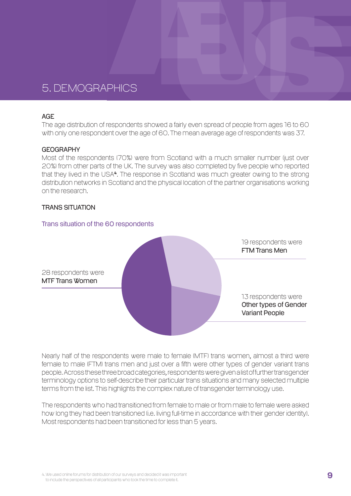### 5. Demographics

#### **AGF**

The age distribution of respondents showed a fairly even spread of people from ages 16 to 60 with only one respondent over the age of 60. The mean average age of respondents was 37.

#### **GEOGRAPHY**

Most of the respondents (70%) were from Scotland with a much smaller number (just over 20%) from other parts of the UK. The survey was also completed by five people who reported that they lived in the USA<sup>4</sup>. The response in Scotland was much greater owing to the strong distribution networks in Scotland and the physical location of the partner organisations working on the research.

#### Trans situation

#### Trans situation of the 60 respondents



Nearly half of the respondents were male to female (MTF) trans women, almost a third were female to male (FTM) trans men and just over a fifth were other types of gender variant trans people. Across these three broad categories, respondents were given a list of further transgender terminology options to self-describe their particular trans situations and many selected multiple terms from the list. This highlights the complex nature of transgender terminology use.

The respondents who had transitioned from female to male or from male to female were asked how long they had been transitioned (i.e. living full-time in accordance with their gender identity). Most respondents had been transitioned for less than 5 years.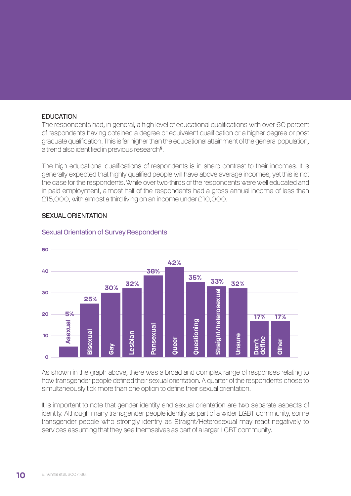#### **EDUCATION**

The respondents had, in general, a high level of educational qualifications with over 60 percent of respondents having obtained a degree or equivalent qualification or a higher degree or post graduate qualification. This is far higher than the educational attainment of the general population, a trend also identified in previous research<sup>5</sup>.

The high educational qualifications of respondents is in sharp contrast to their incomes. It is generally expected that highly qualified people will have above average incomes, yet this is not the case for the respondents. While over two-thirds of the respondents were well educated and in paid employment, almost half of the respondents had a gross annual income of less than £15,000, with almost a third living on an income under £10,000.

#### SEXUAL ORIENTATION



#### Sexual Orientation of Survey Respondents

As shown in the graph above, there was a broad and complex range of responses relating to how transgender people defined their sexual orientation. A quarter of the respondents chose to simultaneously tick more than one option to define their sexual orientation.

It is important to note that gender identity and sexual orientation are two separate aspects of identity. Although many transgender people identify as part of a wider LGBT community, some transgender people who strongly identify as Straight/Heterosexual may react negatively to services assuming that they see themselves as part of a larger LGBT community.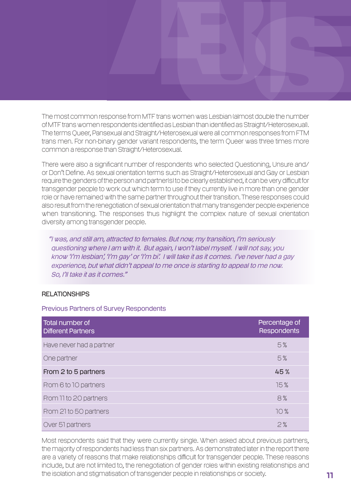The most common response from MTF trans women was Lesbian (almost double the number of MTF trans women respondents identified as Lesbian than identified as Straight/Heterosexual). The terms Queer, Pansexual and Straight/Heterosexual were all common responses from FTM trans men. For non-binary gender variant respondents, the term Queer was three times more common a response than Straight/Heterosexual.

There were also a significant number of respondents who selected Questioning, Unsure and/ or Don't Define. As sexual orientation terms such as Straight/Heterosexual and Gay or Lesbian require the genders of the person and partner(s) to be clearly established, it can be very difficult for transgender people to work out which term to use if they currently live in more than one gender role or have remained with the same partner throughout their transition. These responses could also result from the renegotiation of sexual orientation that many transgender people experience when transitioning. The responses thus highlight the complex nature of sexual orientation diversity among transgender people.

"I was, and still am, attracted to females. But now, my transition, I'm seriously questioning where I am with it. But again, I won't label myself. I will not say, you know 'I'm lesbian', 'I'm gay' or 'I'm bi'. I will take it as it comes. I've never had a gay experience, but what didn't appeal to me once is starting to appeal to me now. So, I'll take it as it comes."

### **RELATIONSHIPS**

Previous Partners of Survey Respondents

| Total number of<br>Different Partners | Percentage of<br><b>Respondents</b> |
|---------------------------------------|-------------------------------------|
| Have never had a partner              | 5%                                  |
| One partner                           | 5%                                  |
| From 2 to 5 partners                  | 45%                                 |
| From 6 to 10 partners                 | 15%                                 |
| From 11 to 20 partners                | 8%                                  |
| From 21 to 50 partners                | 10%                                 |
| Over 51 partners                      | 2%                                  |

Most respondents said that they were currently single. When asked about previous partners, the majority of respondents had less than six partners. As demonstrated later in the report there are a variety of reasons that make relationships difficult for transgender people. These reasons include, but are not limited to, the renegotiation of gender roles within existing relationships and the isolation and stigmatisation of transgender people in relationships or society.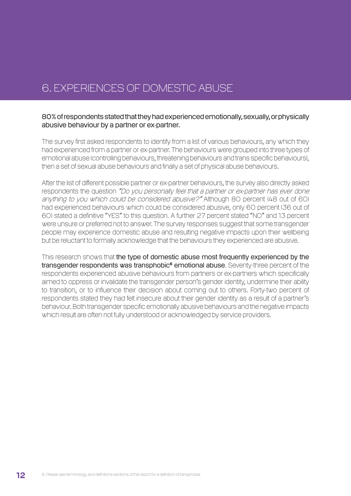### 6. Experiences of Domestic Abuse

### 80% of respondents stated that they had experienced emotionally, sexually, or physically abusive behaviour by a partner or ex-partner.

The survey first asked respondents to identify from a list of various behaviours, any which they had experienced from a partner or ex-partner. The behaviours were grouped into three types of emotional abuse (controlling behaviours, threatening behaviours and trans specific behaviours), then a set of sexual abuse behaviours and finally a set of physical abuse behaviours.

After the list of different possible partner or ex-partner behaviours, the survey also directly asked respondents the question "Do you personally feel that a partner or ex-partner has ever done anything to you which could be considered abusive?" Although 80 percent (48 out of 60) had experienced behaviours which could be considered abusive, only 60 percent (36 out of 60) stated a definitive "YES" to this question. A further 27 percent stated "NO" and 13 percent were unsure or preferred not to answer. The survey responses suggest that some transgender people may experience domestic abuse and resulting negative impacts upon their wellbeing but be reluctant to formally acknowledge that the behaviours they experienced are abusive.

This research shows that the type of domestic abuse most frequently experienced by the transgender respondents was transphobic<sup>6</sup> emotional abuse. Seventy-three percent of the respondents experienced abusive behaviours from partners or ex-partners which specifically aimed to oppress or invalidate the transgender person's gender identity, undermine their ability to transition, or to influence their decision about coming out to others. Forty-two percent of respondents stated they had felt insecure about their gender identity as a result of a partner's behaviour. Both transgender specific emotionally abusive behaviours and the negative impacts which result are often not fully understood or acknowledged by service providers.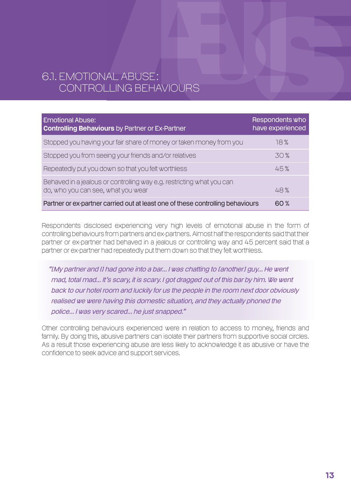### 6.1. Emotional Abuse: Controlling Behaviours

| <b>Emotional Abuse:</b><br><b>Controlling Behaviours</b> by Partner or Ex-Partner                           | Respondents who<br>have experienced |
|-------------------------------------------------------------------------------------------------------------|-------------------------------------|
| Stopped you having your fair share of money or taken money from you                                         | 18%                                 |
| Stopped you from seeing your friends and/or relatives                                                       | 30%                                 |
| Repeatedly put you down so that you felt worthless                                                          | 45%                                 |
| Behaved in a jealous or controlling way e.g. restricting what you can<br>do, who you can see, what you wear | 48%                                 |
| Partner or ex-partner carried out at least one of these controlling behaviours                              | 60%                                 |

Respondents disclosed experiencing very high levels of emotional abuse in the form of controlling behaviours from partners and ex-partners. Almost half the respondents said that their partner or ex-partner had behaved in a jealous or controlling way and 45 percent said that a partner or ex-partner had repeatedly put them down so that they felt worthless.

 "[My partner and I] had gone into a bar... I was chatting to [another] guy... He went mad, total mad... It's scary, it is scary. I got dragged out of this bar by him. We went back to our hotel room and luckily for us the people in the room next door obviously realised we were having this domestic situation, and they actually phoned the police... I was very scared... he just snapped."

Other controlling behaviours experienced were in relation to access to money, friends and family. By doing this, abusive partners can isolate their partners from supportive social circles. As a result those experiencing abuse are less likely to acknowledge it as abusive or have the confidence to seek advice and support services.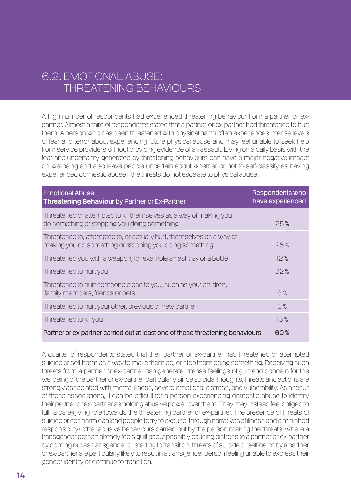### 6.2. Emotional Abuse: Threatening Behaviours

A high number of respondents had experienced threatening behaviour from a partner or expartner. Almost a third of respondents stated that a partner or ex-partner had threatened to hurt them. A person who has been threatened with physical harm often experiences intense levels of fear and terror about experiencing future physical abuse and may feel unable to seek help from service providers without providing evidence of an assault. Living on a daily basis with the fear and uncertainty generated by threatening behaviours can have a major negative impact on wellbeing and also leave people uncertain about whether or not to self-classify as having experienced domestic abuse if the threats do not escalate to physical abuse.

| <b>Emotional Abuse:</b><br>Threatening Behaviour by Partner or Ex-Partner                                                        | Respondents who<br>have experienced |
|----------------------------------------------------------------------------------------------------------------------------------|-------------------------------------|
| Threatened or attempted to kill themselves as a way of making you<br>do something or stopping you doing something                | 25%                                 |
| Threatened to, attempted to, or actually hurt, themselves as a way of<br>making you do something or stopping you doing something | 25%                                 |
| Threatened you with a weapon, for example an ashtray or a bottle                                                                 | 12%                                 |
| Threatened to hurt you                                                                                                           | 32%                                 |
| Threatened to hurt someone close to you, such as your children,<br>family members, friends or pets                               | 8%                                  |
| Threatened to hurt your other, previous or new partner                                                                           | 5%                                  |
| Threatened to kill you                                                                                                           | 13%                                 |
| Partner or ex-partner carried out at least one of these threatening behaviours                                                   | 60%                                 |

A quarter of respondents stated that their partner or ex-partner had threatened or attempted suicide or self-harm as a way to make them do, or stop them doing something. Receiving such threats from a partner or ex-partner can generate intense feelings of guilt and concern for the wellbeing of the partner or ex-partner particularly since suicidal thoughts, threats and actions are strongly associated with mental illness, severe emotional distress, and vulnerability. As a result of these associations, it can be difficult for a person experiencing domestic abuse to identify their partner or ex-partner as holding abusive power over them. They may instead feel obliged to fulfil a care-giving role towards the threatening partner or ex-partner. The presence of threats of suicide or self-harm can lead people to try to excuse (through narratives of illness and diminished responsibility) other abusive behaviours carried out by the person making the threats. Where a transgender person already feels guilt about possibly causing distress to a partner or ex-partner by coming out as transgender or starting to transition, threats of suicide or self-harm by a partner or ex-partner are particularly likely to result in a transgender person feeling unable to express their gender identity or continue to transition.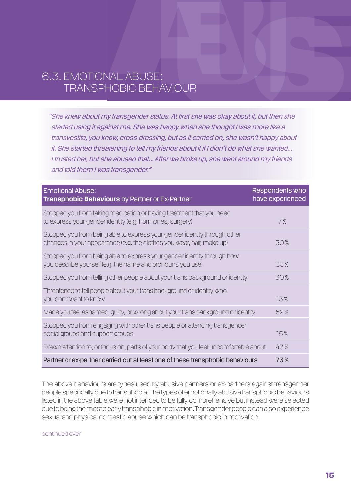### 6.3. Emotional Abuse: Transphobic Behaviour

 "She knew about my transgender status. At first she was okay about it, but then she started using it against me. She was happy when she thought I was more like a transvestite, you know, cross-dressing, but as it carried on, she wasn't happy about it. She started threatening to tell my friends about it if I didn't do what she wanted... I trusted her, but she abused that... After we broke up, she went around my friends and told them I was transgender."

| <b>Emotional Abuse:</b><br>Transphobic Behaviours by Partner or Ex-Partner                                                                         | Respondents who<br>have experienced |
|----------------------------------------------------------------------------------------------------------------------------------------------------|-------------------------------------|
| Stopped you from taking medication or having treatment that you need<br>to express your gender identity (e.g. hormones, surgery)                   | 7%                                  |
| Stopped you from being able to express your gender identity through other<br>changes in your appearance (e.g. the clothes you wear, hair, make up) | 30%                                 |
| Stopped you from being able to express your gender identity through how<br>you describe yourself (e.g. the name and pronouns you use)              | 33%                                 |
| Stopped you from telling other people about your trans background or identity                                                                      | 30%                                 |
| Threatened to tell people about your trans background or identity who<br>you don't want to know                                                    | 13%                                 |
| Made you feel ashamed, guilty, or wrong about your trans background or identity                                                                    | 52%                                 |
| Stopped you from engaging with other trans people or attending transgender<br>social groups and support groups                                     | 15%                                 |
| Drawn attention to, or focus on, parts of your body that you feel uncomfortable about                                                              | 43%                                 |
| Partner or ex-partner carried out at least one of these transphobic behaviours                                                                     | 73%                                 |

The above behaviours are types used by abusive partners or ex-partners against transgender people specifically due to transphobia. The types of emotionally abusive transphobic behaviours listed in the above table were not intended to be fully comprehensive but instead were selected due to being the most clearly transphobic in motivation. Transgender people can also experience sexual and physical domestic abuse which can be transphobic in motivation.

continued over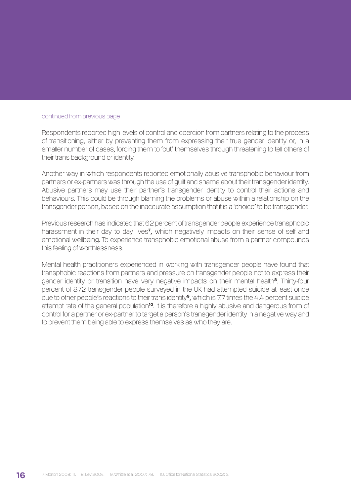#### continued from previous page

Respondents reported high levels of control and coercion from partners relating to the process of transitioning, either by preventing them from expressing their true gender identity or, in a smaller number of cases, forcing them to 'out' themselves through threatening to tell others of their trans background or identity.

Another way in which respondents reported emotionally abusive transphobic behaviour from partners or ex-partners was through the use of guilt and shame about their transgender identity. Abusive partners may use their partner's transgender identity to control their actions and behaviours. This could be through blaming the problems or abuse within a relationship on the transgender person, based on the inaccurate assumption that it is a 'choice' to be transgender.

Previous research has indicated that 62 percent of transgender people experience transphobic harassment in their day to day lives<sup>7</sup>, which negatively impacts on their sense of self and emotional wellbeing. To experience transphobic emotional abuse from a partner compounds this feeling of worthlessness.

Mental health practitioners experienced in working with transgender people have found that transphobic reactions from partners and pressure on transgender people not to express their gender identity or transition have very negative impacts on their mental health<sup>8</sup>. Thirty-four percent of 872 transgender people surveyed in the UK had attempted suicide at least once due to other people's reactions to their trans identity<sup>9</sup>, which is 7.7 times the 4.4 percent suicide attempt rate of the general population<sup>10</sup>. It is therefore a highly abusive and dangerous from of control for a partner or ex-partner to target a person's transgender identity in a negative way and to prevent them being able to express themselves as who they are.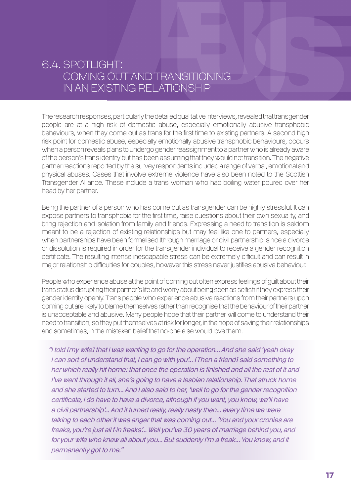### 6.4. Spotlight: Coming Out and Transitioning in an Existing Relationship

The research responses, particularly the detailed qualitative interviews, revealed that transgender people are at a high risk of domestic abuse, especially emotionally abusive transphobic behaviours, when they come out as trans for the first time to existing partners. A second high risk point for domestic abuse, especially emotionally abusive transphobic behaviours, occurs when a person reveals plans to undergo gender reassignment to a partner who is already aware of the person's trans identity but has been assuming that they would not transition. The negative partner reactions reported by the survey respondents included a range of verbal, emotional and physical abuses. Cases that involve extreme violence have also been noted to the Scottish Transgender Alliance. These include a trans woman who had boiling water poured over her head by her partner.

Being the partner of a person who has come out as transgender can be highly stressful. It can expose partners to transphobia for the first time, raise questions about their own sexuality, and bring rejection and isolation from family and friends. Expressing a need to transition is seldom meant to be a rejection of existing relationships but may feel like one to partners, especially when partnerships have been formalised (through marriage or civil partnership) since a divorce or dissolution is required in order for the transgender individual to receive a gender recognition certificate. The resulting intense inescapable stress can be extremely difficult and can result in major relationship difficulties for couples, however this stress never justifies abusive behaviour.

People who experience abuse at the point of coming out often express feelings of guilt about their trans status disrupting their partner's life and worry about being seen as selfish if they express their gender identity openly. Trans people who experience abusive reactions from their partners upon coming out are likely to blame themselves rather than recognise that the behaviour of their partner is unacceptable and abusive. Many people hope that their partner will come to understand their need to transition, so they put themselves at risk for longer, in the hope of saving their relationships and sometimes, in the mistaken belief that no-one else would love them.

"I told [my wife] that I was wanting to go for the operation... And she said 'yeah okay I can sort of understand that, I can go with you'... [Then a friend] said something to her which really hit home: that once the operation is finished and all the rest of it and I've went through it all, she's going to have a lesbian relationship. That struck home and she started to turn... And I also said to her, 'well to go for the gender recognition certificate, I do have to have a divorce, although if you want, you know, we'll have a civil partnership'... And it turned really, really nasty then... every time we were talking to each other it was anger that was coming out... 'You and your cronies are freaks, you're just all f-in freaks'... Well you've 30 years of marriage behind you, and for your wife who knew all about you... But suddenly I'm a freak... You know, and it permanently got to me."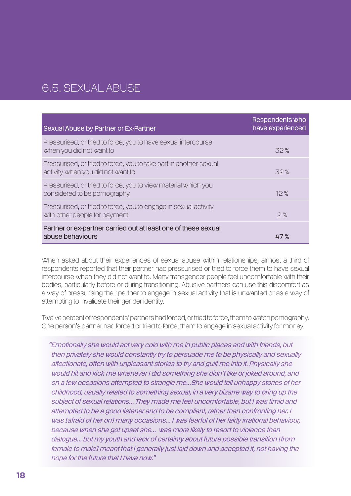### 6.5. Sexual Abuse

| Sexual Abuse by Partner or Ex-Partner                                                                   | Respondents who<br>have experienced |
|---------------------------------------------------------------------------------------------------------|-------------------------------------|
| Pressurised, or tried to force, you to have sexual intercourse<br>when you did not want to              | 32%                                 |
| Pressurised, or tried to force, you to take part in another sexual<br>activity when you did not want to | 32%                                 |
| Pressurised, or tried to force, you to view material which you<br>considered to be pornography          | 12%                                 |
| Pressurised, or tried to force, you to engage in sexual activity<br>with other people for payment       | 2%                                  |
| Partner or ex-partner carried out at least one of these sexual<br>abuse behaviours                      | 47 %                                |

When asked about their experiences of sexual abuse within relationships, almost a third of respondents reported that their partner had pressurised or tried to force them to have sexual intercourse when they did not want to. Many transgender people feel uncomfortable with their bodies, particularly before or during transitioning. Abusive partners can use this discomfort as a way of pressurising their partner to engage in sexual activity that is unwanted or as a way of attempting to invalidate their gender identity.

Twelve percent of respondents' partners had forced, or tried to force, them to watch pornography. One person's partner had forced or tried to force, them to engage in sexual activity for money.

"Emotionally she would act very cold with me in public places and with friends, but then privately she would constantly try to persuade me to be physically and sexually affectionate, often with unpleasant stories to try and guilt me into it. Physically she would hit and kick me whenever I did something she didn't like or joked around, and on a few occasions attempted to strangle me...She would tell unhappy stories of her childhood, usually related to something sexual, in a very bizarre way to bring up the subject of sexual relations... They made me feel uncomfortable, but I was timid and attempted to be a good listener and to be compliant, rather than confronting her. I was [afraid of her on] many occasions... I was fearful of her fairly irrational behaviour, because when she got upset she... was more likely to resort to violence than dialogue... but my youth and lack of certainty about future possible transition [from female to male] meant that I generally just laid down and accepted it, not having the hope for the future that I have now."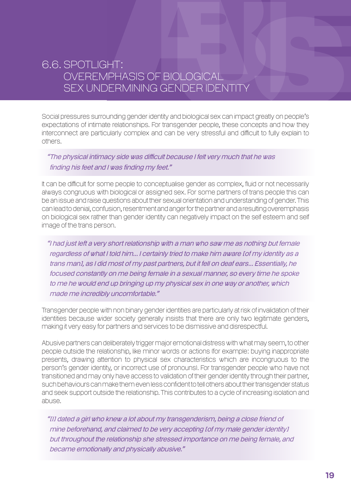### 6.6. Spotlight: Overemphasis of Biological Sex Undermining Gender Identity

Social pressures surrounding gender identity and biological sex can impact greatly on people's expectations of intimate relationships. For transgender people, these concepts and how they interconnect are particularly complex and can be very stressful and difficult to fully explain to others.

### "The physical intimacy side was difficult because I felt very much that he was finding his feet and I was finding my feet."

It can be difficult for some people to conceptualise gender as complex, fluid or not necessarily always congruous with biological or assigned sex. For some partners of trans people this can be an issue and raise questions about their sexual orientation and understanding of gender. This can lead to denial, confusion, resentment and anger for the partner and a resulting overemphasis on biological sex rather than gender identity can negatively impact on the self esteem and self image of the trans person.

"I had just left a very short relationship with a man who saw me as nothing but female regardless of what I told him... I certainly tried to make him aware [of my identity as a trans man], as I did most of my past partners, but it fell on deaf ears... Essentially, he focused constantly on me being female in a sexual manner, so every time he spoke to me he would end up bringing up my physical sex in one way or another, which made me incredibly uncomfortable."

Transgender people with non binary gender identities are particularly at risk of invalidation of their identities because wider society generally insists that there are only two legitimate genders, making it very easy for partners and services to be dismissive and disrespectful.

Abusive partners can deliberately trigger major emotional distress with what may seem, to other people outside the relationship, like minor words or actions (for example: buying inappropriate presents, drawing attention to physical sex characteristics which are incongruous to the person's gender identity, or incorrect use of pronouns). For transgender people who have not transitioned and may only have access to validation of their gender identity through their partner, such behaviours can make them even less confident to tell others about their transgender status and seek support outside the relationship. This contributes to a cycle of increasing isolation and abuse.

"[I] dated a girl who knew a lot about my transgenderism, being a close friend of mine beforehand, and claimed to be very accepting [of my male gender identity] but throughout the relationship she stressed importance on me being female, and became emotionally and physically abusive."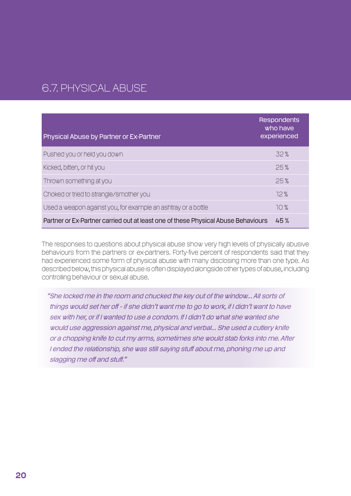### 6.7. Physical Abuse

| <b>Physical Abuse by Partner or Ex-Partner</b>                                    | <b>Respondents</b><br>who have<br>experienced |
|-----------------------------------------------------------------------------------|-----------------------------------------------|
| Pushed you or held you down                                                       | 32%                                           |
| Kicked, bitten, or hit you                                                        | 25%                                           |
| Thrown something at you                                                           | 25%                                           |
| Choked or tried to strangle/smother you                                           | 12%                                           |
| Used a weapon against you, for example an ashtray or a bottle                     | 10%                                           |
| Partner or Ex-Partner carried out at least one of these Physical Abuse Behaviours | 45%                                           |

The responses to questions about physical abuse show very high levels of physically abusive behaviours from the partners or ex-partners. Forty-five percent of respondents said that they had experienced some form of physical abuse with many disclosing more than one type. As described below, this physical abuse is often displayed alongside other types of abuse, including controlling behaviour or sexual abuse.

"She locked me in the room and chucked the key out of the window... All sorts of things would set her off – if she didn't want me to go to work, if I didn't want to have sex with her, or if I wanted to use a condom. If I didn't do what she wanted she would use aggression against me, physical and verbal... She used a cutlery knife or a chopping knife to cut my arms, sometimes she would stab forks into me. After I ended the relationship, she was still saying stuff about me, phoning me up and slagging me off and stuff."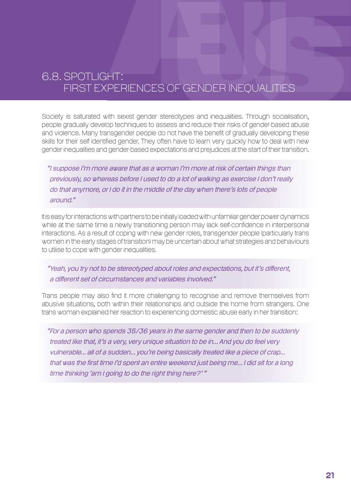### 6.8. Spotlight: First Experiences of Gender Inequalities

Society is saturated with sexist gender stereotypes and inequalities. Through socialisation, people gradually develop techniques to assess and reduce their risks of gender-based abuse and violence. Many transgender people do not have the benefit of gradually developing these skills for their self identified gender. They often have to learn very quickly how to deal with new gender inequalities and gender-based expectations and prejudices at the start of their transition.

"I suppose I'm more aware that as a woman I'm more at risk of certain things than previously, so whereas before I used to do a lot of walking as exercise I don't really do that anymore, or I do it in the middle of the day when there's lots of people around."

It is easy for interactions with partners to be initially loaded with unfamiliar gender power dynamics while at the same time a newly transitioning person may lack self-confidence in interpersonal interactions. As a result of coping with new gender roles, transgender people (particularly trans women in the early stages of transition) may be uncertain about what strategies and behaviours to utilise to cope with gender inequalities.

"Yeah, you try not to be stereotyped about roles and expectations, but it's different, a different set of circumstances and variables involved."

Trans people may also find it more challenging to recognise and remove themselves from abusive situations, both within their relationships and outside the home from strangers. One trans woman explained her reaction to experiencing domestic abuse early in her transition:

"For a person who spends 35/36 years in the same gender and then to be suddenly treated like that, it's a very, very unique situation to be in... And you do feel very vulnerable... all of a sudden... you're being basically treated like a piece of crap... that was the first time I'd spent an entire weekend just being me... I did sit for a long time thinking 'am I going to do the right thing here?' "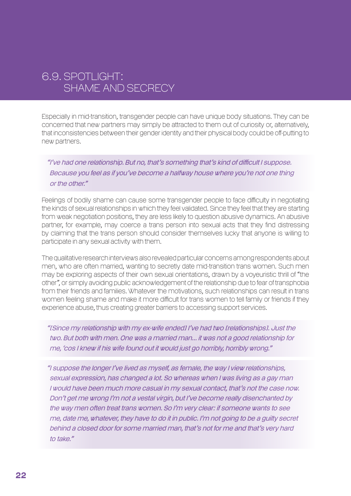### 6.9. Spotlight: Shame and Secrecy

Especially in mid-transition, transgender people can have unique body situations. They can be concerned that new partners may simply be attracted to them out of curiosity or, alternatively, that inconsistencies between their gender identity and their physical body could be off-putting to new partners.

"I've had one relationship. But no, that's something that's kind of difficult I suppose. Because you feel as if you've become a halfway house where you're not one thing or the other."

Feelings of bodily shame can cause some transgender people to face difficulty in negotiating the kinds of sexual relationships in which they feel validated. Since they feel that they are starting from weak negotiation positions, they are less likely to question abusive dynamics. An abusive partner, for example, may coerce a trans person into sexual acts that they find distressing by claiming that the trans person should consider themselves lucky that anyone is willing to participate in any sexual activity with them.

The qualitative research interviews also revealed particular concerns among respondents about men, who are often married, wanting to secretly date mid-transition trans women. Such men may be exploring aspects of their own sexual orientations, drawn by a voyeuristic thrill of "the other", or simply avoiding public acknowledgement of the relationship due to fear of transphobia from their friends and families. Whatever the motivations, such relationships can result in trans women feeling shame and make it more difficult for trans women to tell family or friends if they experience abuse, thus creating greater barriers to accessing support services.

"[Since my relationship with my ex-wife ended] I've had two [relationships]. Just the two. But both with men. One was a married man... it was not a good relationship for me, 'cos I knew if his wife found out it would just go horribly, horribly wrong."

"I suppose the longer I've lived as myself, as female, the way I view relationships, sexual expression, has changed a lot. So whereas when I was living as a gay man I would have been much more casual in my sexual contact, that's not the case now. Don't get me wrong I'm not a vestal virgin, but I've become really disenchanted by the way men often treat trans women. So I'm very clear: if someone wants to see me, date me, whatever, they have to do it in public. I'm not going to be a guilty secret behind a closed door for some married man, that's not for me and that's very hard to take."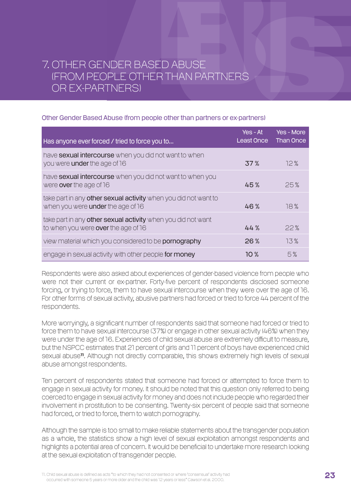### 7. Other Gender Based Abuse (from people other than partners or ex-partners)

#### Other Gender Based Abuse (from people other than partners or ex-partners)

| Has anyone ever forced / tried to force you to                                                              | Yes - At<br>Least Once | Yes - More<br><b>Than Once</b> |
|-------------------------------------------------------------------------------------------------------------|------------------------|--------------------------------|
| have sexual intercourse when you did not want to when<br>you were <b>under</b> the age of 16                | 37%                    | 12%                            |
| have <b>sexual intercourse</b> when you did not want to when you<br>were over the age of 16                 | 45%                    | 25%                            |
| take part in any other sexual activity when you did not want to<br>when you were <b>under</b> the age of 16 | 46%                    | 18%                            |
| take part in any other sexual activity when you did not want<br>to when you were <b>over</b> the age of 16  | 44%                    | 22%                            |
| view material which you considered to be <b>pornography</b>                                                 | 26%                    | 13%                            |
| engage in sexual activity with other people for money                                                       | 10 %                   | 5%                             |

Respondents were also asked about experiences of gender-based violence from people who were not their current or ex-partner. Forty-five percent of respondents disclosed someone forcing, or trying to force, them to have sexual intercourse when they were over the age of 16. For other forms of sexual activity, abusive partners had forced or tried to force 44 percent of the respondents.

More worryingly, a significant number of respondents said that someone had forced or tried to force them to have sexual intercourse (37%) or engage in other sexual activity (46%) when they were under the age of 16. Experiences of child sexual abuse are extremely difficult to measure, but the NSPCC estimates that 21 percent of girls and 11 percent of boys have experienced child sexual abuse<sup>11</sup>. Although not directly comparable, this shows extremely high levels of sexual abuse amongst respondents.

Ten percent of respondents stated that someone had forced or attempted to force them to engage in sexual activity for money. It should be noted that this question only referred to being coerced to engage in sexual activity for money and does not include people who regarded their involvement in prostitution to be consenting. Twenty-six percent of people said that someone had forced, or tried to force, them to watch pornography.

Although the sample is too small to make reliable statements about the transgender population as a whole, the statistics show a high level of sexual exploitation amongst respondents and highlights a potential area of concern. It would be beneficial to undertake more research looking at the sexual exploitation of transgender people.

11. Child sexual abuse is defined as acts "to which they had not consented or where 'consensual' activity had occurred with someone 5 years or more older and the child was 12 years or less" Cawson et al. 2000.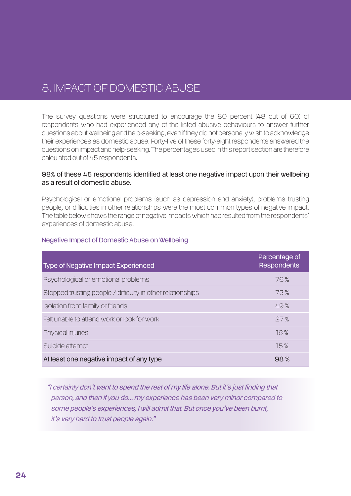### 8. Impact of Domestic Abuse

The survey questions were structured to encourage the 80 percent (48 out of 60) of respondents who had experienced any of the listed abusive behaviours to answer further questions about wellbeing and help-seeking, even if they did not personally wish to acknowledge their experiences as domestic abuse. Forty-five of these forty-eight respondents answered the questions on impact and help-seeking. The percentages used in this report section are therefore calculated out of 45 respondents.

#### 98% of these 45 respondents identified at least one negative impact upon their wellbeing as a result of domestic abuse.

Psychological or emotional problems (such as depression and anxiety), problems trusting people, or difficulties in other relationships were the most common types of negative impact. The table below shows the range of negative impacts which had resulted from the respondents' experiences of domestic abuse.

#### Negative Impact of Domestic Abuse on Wellbeing

| <b>Type of Negative Impact Experienced</b>                  | Percentage of<br><b>Respondents</b> |
|-------------------------------------------------------------|-------------------------------------|
| Psychological or emotional problems                         | 76%                                 |
| Stopped trusting people / difficulty in other relationships | 73%                                 |
| Isolation from family or friends                            | 49%                                 |
| Felt unable to attend work or look for work                 | 27%                                 |
| Physical injuries                                           | 16%                                 |
| Suicide attempt                                             | 15%                                 |
| At least one negative impact of any type                    | 98%                                 |

"I certainly don't want to spend the rest of my life alone. But it's just finding that person, and then if you do... my experience has been very minor compared to some people's experiences, I will admit that. But once you've been burnt, it's very hard to trust people again."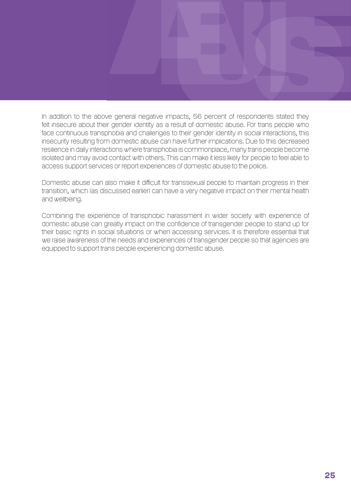In addition to the above general negative impacts, 56 percent of respondents stated they felt insecure about their gender identity as a result of domestic abuse. For trans people who face continuous transphobia and challenges to their gender identity in social interactions, this insecurity resulting from domestic abuse can have further implications. Due to this decreased resilience in daily interactions where transphobia is commonplace, many trans people become isolated and may avoid contact with others. This can make it less likely for people to feel able to access support services or report experiences of domestic abuse to the police.

Domestic abuse can also make it difficult for transsexual people to maintain progress in their transition, which (as discussed earlier) can have a very negative impact on their mental health and wellbeing.

Combining the experience of transphobic harassment in wider society with experience of domestic abuse can greatly impact on the confidence of transgender people to stand up for their basic rights in social situations or when accessing services. It is therefore essential that we raise awareness of the needs and experiences of transgender people so that agencies are equipped to support trans people experiencing domestic abuse.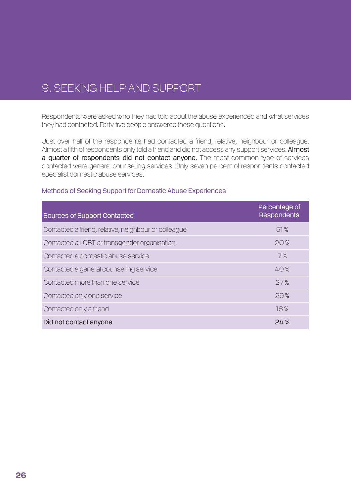### 9. Seeking Help and Support

Respondents were asked who they had told about the abuse experienced and what services they had contacted. Forty-five people answered these questions.

Just over half of the respondents had contacted a friend, relative, neighbour or colleague. Almost a fifth of respondents only told a friend and did not access any support services. Almost a quarter of respondents did not contact anyone. The most common type of services contacted were general counselling services. Only seven percent of respondents contacted specialist domestic abuse services.

| <b>Sources of Support Contacted</b>                  | Percentage of<br><b>Respondents</b> |
|------------------------------------------------------|-------------------------------------|
| Contacted a friend, relative, neighbour or colleague | 51%                                 |
| Contacted a LGBT or transgender organisation         | 20%                                 |
| Contacted a domestic abuse service                   | 7%                                  |
| Contacted a general counselling service              | 40%                                 |
| Contacted more than one service                      | 27%                                 |
| Contacted only one service                           | 29%                                 |
| Contacted only a friend                              | 18%                                 |
| Did not contact anyone                               | 24%                                 |

#### Methods of Seeking Support for Domestic Abuse Experiences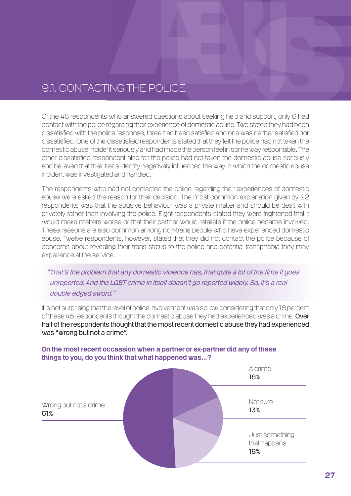### 9.1. Contacting the Police

Of the 45 respondents who answered questions about seeking help and support, only 6 had contact with the police regarding their experience of domestic abuse. Two stated they had been dissatisfied with the police response, three had been satisfied and one was neither satisfied nor dissatisfied. One of the dissatisfied respondents stated that they felt the police had not taken the domestic abuse incident seriously and had made the person feel in some way responsible. The other dissatisfied respondent also felt the police had not taken the domestic abuse seriously and believed that their trans identity negatively influenced the way in which the domestic abuse incident was investigated and handled.

The respondents who had not contacted the police regarding their experiences of domestic abuse were asked the reason for their decision. The most common explanation given by 22 respondents was that the abusive behaviour was a private matter and should be dealt with privately rather than involving the police. Eight respondents stated they were frightened that it would make matters worse or that their partner would retaliate if the police became involved. These reasons are also common among non-trans people who have experienced domestic abuse. Twelve respondents, however, stated that they did not contact the police because of concerns about revealing their trans status to the police and potential transphobia they may experience at the service.

### "That's the problem that any domestic violence has, that quite a lot of the time it goes unreported. And the LGBT crime in itself doesn't go reported widely. So, it's a real double edged sword."

It is not surprising that the level of police involvement was so low considering that only 18 percent of these 45 respondents thought the domestic abuse they had experienced was a crime. Over half of the respondents thought that the most recent domestic abuse they had experienced was "wrong but not a crime".



#### On the most recent occaasion when a partner or ex-partner did any of these things to you, do you think that what happened was...?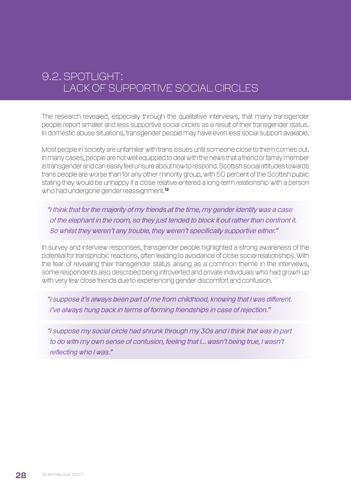### 9.2. Spotlight: Lack of Supportive Social Circles

The research revealed, especially through the qualitative interviews, that many transgender people report smaller and less supportive social circles as a result of their transgender status. In domestic abuse situations, transgender people may have even less social support available.

Most people in society are unfamiliar with trans issues until someone close to them comes out. In many cases, people are not well equipped to deal with the news that a friend or family member is transgender and can easily feel unsure about how to respond. Scottish social attitudes towards trans people are worse than for any other minority group, with 50 percent of the Scottish public stating they would be unhappy if a close relative entered a long-term relationship with a person who had undergone gender reassignment.<sup>12</sup>

"I think that for the majority of my friends at the time, my gender identity was a case of the elephant in the room, so they just tended to block it out rather than confront it. So whilst they weren't any trouble, they weren't specifically supportive either."

In survey and interview responses, transgender people highlighted a strong awareness of the potential for transphobic reactions, often leading to avoidance of close social relationships. With the fear of revealing their transgender status arising as a common theme in the interviews, some respondents also described being introverted and private individuals who had grown up with very few close friends due to experiencing gender discomfort and confusion.

"I suppose it's always been part of me from childhood, knowing that I was different. I've always hung back in terms of forming friendships in case of rejection."

"I suppose my social circle had shrunk through my 30s and I think that was in part to do with my own sense of confusion, feeling that I... wasn't being true, I wasn't reflecting who I was."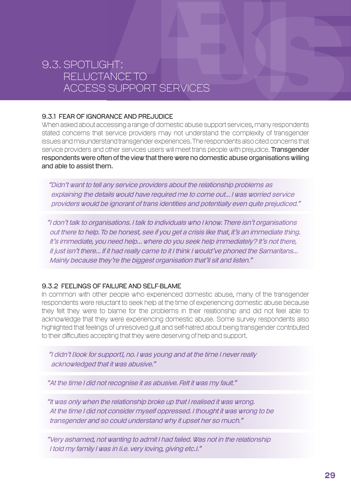### 9.3. Spotlight: Reluctance to Access Support Services

#### 9.3.1 FEAR OF IGNORANCE AND PREJUDICE

When asked about accessing a range of domestic abuse support services, many respondents stated concerns that service providers may not understand the complexity of transgender issues and misunderstand transgender experiences. The respondents also cited concerns that service providers and other services users will meet trans people with prejudice. **Transgender** respondents were often of the view that there were no domestic abuse organisations willing and able to assist them.

" Didn't want to tell any service providers about the relationship problems as explaining the details would have required me to come out... I was worried service providers would be ignorant of trans identities and potentially even quite prejudiced."

"I don't talk to organisations. I talk to individuals who I know. There isn't organisations out there to help. To be honest, see if you get a crisis like that, it's an immediate thing. It's immediate, you need help... where do you seek help immediately? It's not there, it just isn't there... If it had really came to it I think I would've phoned the Samaritans... Mainly because they're the biggest organisation that'll sit and listen."

### 9.3.2 Feelings of failure and self-blame

In common with other people who experienced domestic abuse, many of the transgender respondents were reluctant to seek help at the time of experiencing domestic abuse because they felt they were to blame for the problems in their relationship and did not feel able to acknowledge that they were experiencing domestic abuse. Some survey respondents also highlighted that feelings of unresolved guilt and self-hatred about being transgender contributed to their difficulties accepting that they were deserving of help and support.

"I didn't [look for support], no. I was young and at the time I never really acknowledged that it was abusive."

"At the time I did not recognise it as abusive. Felt it was my fault."

"It was only when the relationship broke up that I realised it was wrong. At the time I did not consider myself oppressed. I thought it was wrong to be transgender and so could understand why it upset her so much."

"Very ashamed, not wanting to admit I had failed. Was not in the relationship I told my family I was in (i.e. very loving, giving etc.)."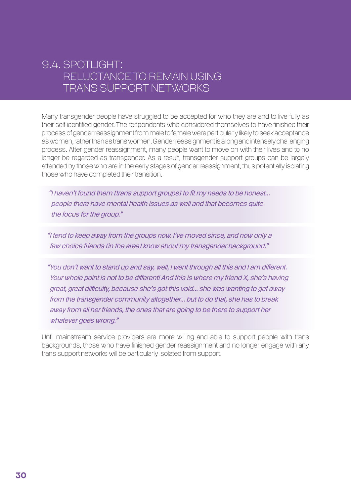### 9.4. Spotlight: Reluctance to Remain Using Trans Support Networks

Many transgender people have struggled to be accepted for who they are and to live fully as their self-identified gender. The respondents who considered themselves to have finished their process of gender reassignment from male to female were particularly likely to seek acceptance as women, rather than as trans women. Gender reassignment is a long and intensely challenging process. After gender reassignment, many people want to move on with their lives and to no longer be regarded as transgender. As a result, transgender support groups can be largely attended by those who are in the early stages of gender reassignment, thus potentially isolating those who have completed their transition.

 "I haven't found them [trans support groups] to fit my needs to be honest... people there have mental health issues as well and that becomes quite the focus for the group."

"I tend to keep away from the groups now. I've moved since, and now only a few choice friends [in the area] know about my transgender background."

"You don't want to stand up and say, well, I went through all this and I am different. Your whole point is not to be different! And this is where my friend X, she's having great, great difficulty, because she's got this void... she was wanting to get away from the transgender community altogether... but to do that, she has to break away from all her friends, the ones that are going to be there to support her whatever goes wrong."

Until mainstream service providers are more willing and able to support people with trans backgrounds, those who have finished gender reassignment and no longer engage with any trans support networks will be particularly isolated from support.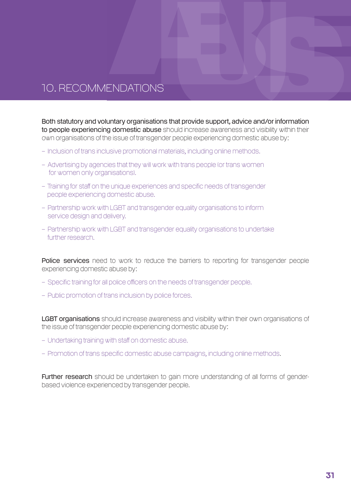### 10. Recommendations

Both statutory and voluntary organisations that provide support, advice and/or information to people experiencing domestic abuse should increase awareness and visibility within their own organisations of the issue of transgender people experiencing domestic abuse by:

- Inclusion of trans inclusive promotional materials, including online methods.
- Advertising by agencies that they will work with trans people (or trans women for women only organisations).
- Training for staff on the unique experiences and specific needs of transgender people experiencing domestic abuse.
- Partnership work with LGBT and transgender equality organisations to inform service design and delivery.
- Partnership work with LGBT and transgender equality organisations to undertake further research.

Police services need to work to reduce the barriers to reporting for transgender people experiencing domestic abuse by:

- Specific training for all police officers on the needs of transgender people.
- Public promotion of trans inclusion by police forces.

LGBT organisations should increase awareness and visibility within their own organisations of the issue of transgender people experiencing domestic abuse by:

- Undertaking training with staff on domestic abuse.
- Promotion of trans specific domestic abuse campaigns, including online methods.

Further research should be undertaken to gain more understanding of all forms of genderbased violence experienced by transgender people.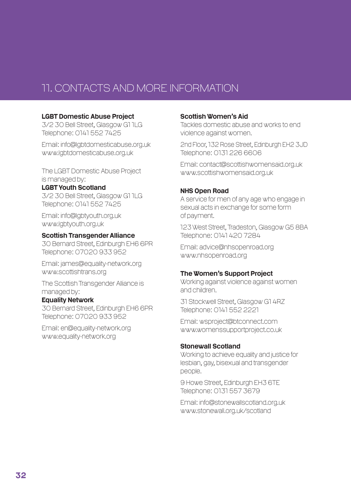### 11. Contacts and More Information

#### LGBT Domestic Abuse Project

3/2 30 Bell Street, Glasgow G1 1LG Telephone: 0141 552 7425

Email: info@lgbtdomesticabuse.org.uk www.lgbtdomesticabuse.org.uk

The LGBT Domestic Abuse Project is managed by:

#### LGBT Youth Scotland

3/2 30 Bell Street, Glasgow G1 1LG Telephone: 0141 552 7425

Email: info@lgbtyouth.org.uk www.lgbtyouth.org.uk

#### Scottish Transgender Alliance

30 Bernard Street, Edinburgh EH6 6PR Telephone: 07020 933 952

Email: james@equality-network.org www.scottishtrans.org

The Scottish Transgender Alliance is managed by:

#### Equality Network

30 Bernard Street, Edinburgh EH6 6PR Telephone: 07020 933 952

Email: en@equality-network.org www.equality-network.org

#### Scottish Women's Aid

Tackles domestic abuse and works to end violence against women.

2nd Floor, 132 Rose Street, Edinburgh EH2 3JD Telephone: 0131 226 6606

Email: contact@scottishwomensaid.org.uk www.scottishwomensaid.org.uk

#### NHS Open Road

A service for men of any age who engage in sexual acts in exchange for some form of payment.

123 West Street, Tradeston, Glasgow G5 8BA Telephone: 0141 420 7284

Email: advice@nhsopenroad.org www.nhsopenroad.org

### The Women's Support Project

Working against violence against women and children.

31 Stockwell Street, Glasgow G1 4RZ Telephone: 0141 552 2221

Email: wsproject@btconnect.com www.womenssupportproject.co.uk

### Stonewall Scotland

Working to achieve equality and justice for lesbian, gay, bisexual and transgender people.

9 Howe Street, Edinburgh EH3 6TE Telephone: 0131 557 3679

Email: info@stonewallscotland.org.uk www.stonewall.org.uk/scotland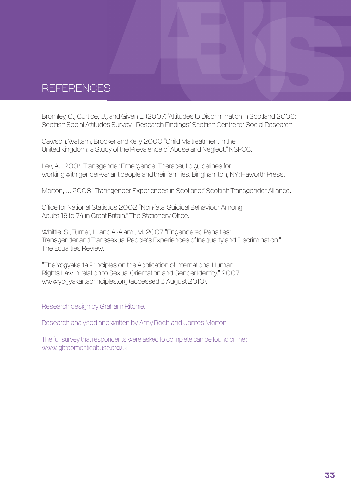### **REFERENCES**

Bromley, C., Curtice, J., and Given L. (2007) 'Attitudes to Discrimination in Scotland 2006: Scottish Social Attitudes Survey - Research Findings' Scottish Centre for Social Research

Cawson, Wattam, Brooker and Kelly 2000 "Child Maltreatment in the United Kingdom: a Study of the Prevalence of Abuse and Neglect." NSPCC.

Lev, A.I. 2004 Transgender Emergence: Therapeutic guidelines for working with gender-variant people and their families. Binghamton, NY: Haworth Press.

Morton, J. 2008 "Transgender Experiences in Scotland." Scottish Transgender Alliance.

Office for National Statistics 2002 "Non-fatal Suicidal Behaviour Among Adults 16 to 74 in Great Britain." The Stationery Office.

Whittle, S., Turner, L. and Al-Alami, M. 2007 "Engendered Penalties: Transgender and Transsexual People's Experiences of Inequality and Discrimination." The Equalities Review.

"The Yogyakarta Principles on the Application of International Human Rights Law in relation to Sexual Orientation and Gender Identity." 2007 www.yogyakartaprinciples.org (accessed 3 August 2010).

Research design by Graham Ritchie.

Research analysed and written by Amy Roch and James Morton

The full survey that respondents were asked to complete can be found online: www.lgbtdomesticabuse.org.uk